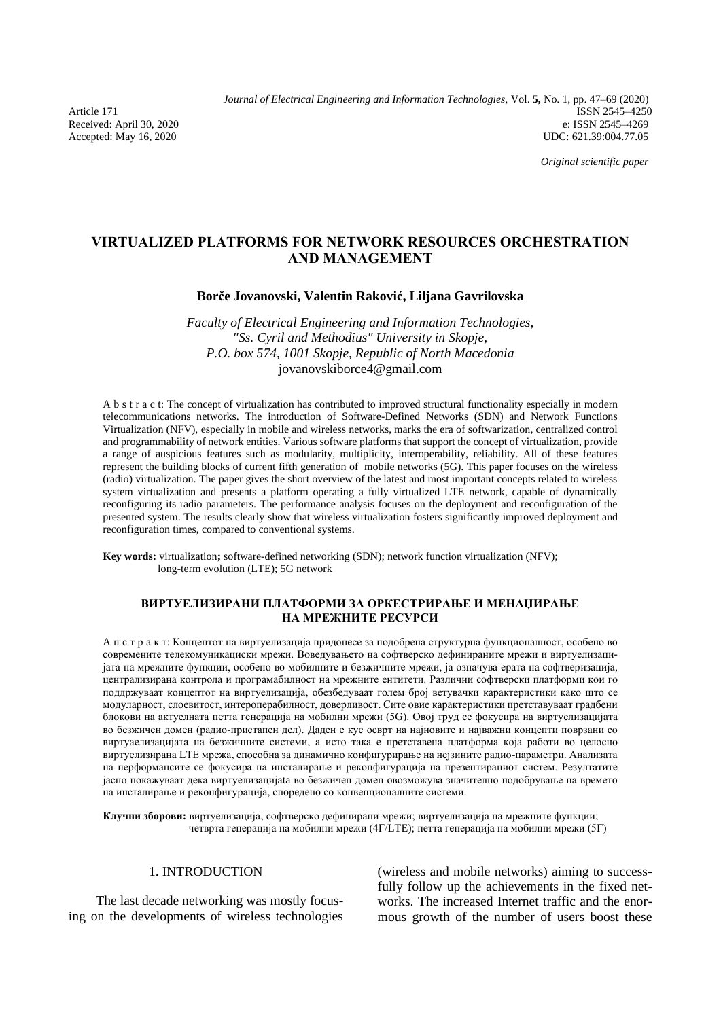Accepted: May 16, 2020

*Journal of Electrical Engineering and Information Technologies,* Vol. **5,** No. 1, pp. 47–69 (2020) Article 171 ISSN 2545-4250<br>Received: April 30, 2020 e: ISSN 2545-4269 e: ISSN 2545-4269 Received: April 30, 2020 e: ISSN 2545–4269<br>Accepted: May 16, 2020 external application of the control of the UDC: 621.39:004.77.05

*Original scientific paper*

# **VIRTUALIZED PLATFORMS FOR NETWORK RESOURCES ORCHESTRATION AND MANAGEMENT**

## **Borče Jovanovski, Valentin Raković, Liljana Gavrilovska**

*Faculty of Electrical Engineering and Information Technologies, "Ss. Cyril and Methodius" University in Skopje, P.O. box 574, 1001 Skopje, Republic of North Macedonia*  jovanovskiborce4@gmail.com

A b s t r a c t: The concept of virtualization has contributed to improved structural functionality especially in modern telecommunications networks. The introduction of Software-Defined Networks (SDN) and Network Functions Virtualization (NFV), especially in mobile and wireless networks, marks the era of softwarization, centralized control and programmability of network entities. Various software platforms that support the concept of virtualization, provide a range of auspicious features such as modularity, multiplicity, interoperability, reliability. All of these features represent the building blocks of current fifth generation of mobile networks (5G). This paper focuses on the wireless (radio) virtualization. The paper gives the short overview of the latest and most important concepts related to wireless system virtualization and presents a platform operating a fully virtualized LTE network, capable of dynamically reconfiguring its radio parameters. The performance analysis focuses on the deployment and reconfiguration of the presented system. The results clearly show that wireless virtualization fosters significantly improved deployment and reconfiguration times, compared to conventional systems.

**Key words:** virtualization**;** software-defined networking (SDN); network function virtualization (NFV); long-term evolution (LTE); 5G network

## **ВИРТУЕЛИЗИРАНИ ПЛАТФОРМИ ЗА ОРКЕСТРИРАЊЕ И МЕНАЏИРАЊЕ НА МРЕЖНИТЕ РЕСУРСИ**

A п с т р а к т: Концептот на виртуелизација придонесе за подобрена структурна функционалност, особено во современите телекомуникациски мрежи. Воведувањето на софтверско дефинираните мрежи и виртуелизацијата на мрежните функции, особено во мобилните и безжичните мрежи, ја означува ерата на софтверизација, централизирана контрола и програмабилност на мрежните ентитети. Различни софтверски платформи кои го поддржуваат концептот на виртуелизација, обезбедуваат голем број ветувачки карактеристики како што се модуларност, слоевитост, интероперабилност, доверливост. Сите овие карактеристики претставуваат градбени блокови на актуелната петта генерација на мобилни мрежи (5G). Овој труд се фокусира на виртуелизацијата во безжичен домен (радио-пристапен дел). Даден е кус осврт на најновите и најважни концепти поврзани со виртуаелизацијата на безжичните системи, а исто така е претставена платформа која работи во целосно виртуелизирана LTE мрежа, способна за динамично конфигурирање на нејзините радио-параметри. Анализата на перформансите се фокусира на инсталирање и реконфигурација на презентираниот систем. Резултатите јасно покажуваат дека виртуелизацијаta во безжичен домен овозможува значително подобрување на времето на инсталирање и реконфигурација, споредено со конвенционалните системи.

**Клучни зборови:** виртуелизација; софтверско дефинирани мрежи; виртуелизација на мрежните функции; четврта генерација на мобилни мрежи (4Г/LTE); петта генерација на мобилни мрежи (5Г)

## 1. INTRODUCTION

The last decade networking was mostly focusing on the developments of wireless technologies (wireless and mobile networks) aiming to successfully follow up the achievements in the fixed networks. The increased Internet traffic and the enormous growth of the number of users boost these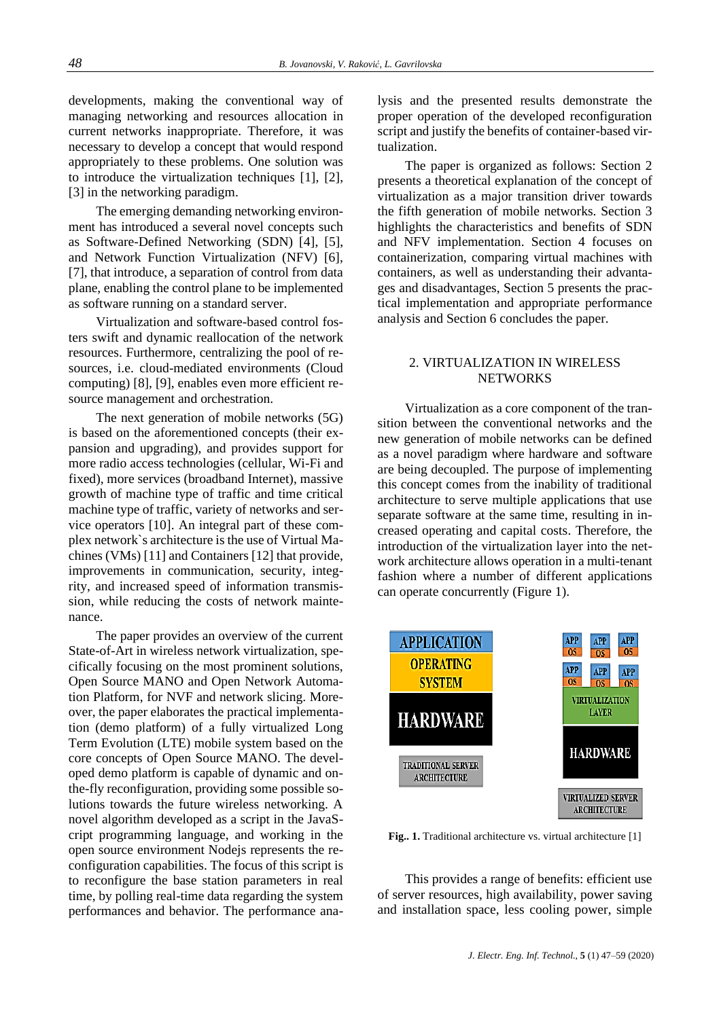developments, making the conventional way of managing networking and resources allocation in current networks inappropriate. Therefore, it was necessary to develop a concept that would respond appropriately to these problems. One solution was to introduce the virtualization techniques [1], [2], [3] in the networking paradigm.

The emerging demanding networking environment has introduced a several novel concepts such as Software-Defined Networking (SDN) [4], [5], and Network Function Virtualization (NFV) [6], [7], that introduce, a separation of control from data plane, enabling the control plane to be implemented as software running on a standard server.

Virtualization and software-based control fosters swift and dynamic reallocation of the network resources. Furthermore, centralizing the pool of resources, i.e. cloud-mediated environments (Cloud computing) [8], [9], enables even more efficient resource management and orchestration.

The next generation of mobile networks (5G) is based on the aforementioned concepts (their expansion and upgrading), and provides support for more radio access technologies (cellular, Wi-Fi and fixed), more services (broadband Internet), massive growth of machine type of traffic and time critical machine type of traffic, variety of networks and service operators [10]. An integral part of these complex network`s architecture is the use of Virtual Machines (VMs) [11] and Containers [12] that provide, improvements in communication, security, integrity, and increased speed of information transmission, while reducing the costs of network maintenance.

The paper provides an overview of the current State-of-Art in wireless network virtualization, specifically focusing on the most prominent solutions, Open Source MANO and Open Network Automation Platform, for NVF and network slicing. Moreover, the paper elaborates the practical implementation (demo platform) of a fully virtualized Long Term Evolution (LTE) mobile system based on the core concepts of Open Source MANO. The developed demo platform is capable of dynamic and onthe-fly reconfiguration, providing some possible solutions towards the future wireless networking. A novel algorithm developed as a script in the JavaScript programming language, and working in the open source environment Nodejs represents the reconfiguration capabilities. The focus of this script is to reconfigure the base station parameters in real time, by polling real-time data regarding the system performances and behavior. The performance analysis and the presented results demonstrate the proper operation of the developed reconfiguration script and justify the benefits of container-based virtualization.

The paper is organized as follows: Section 2 presents a theoretical explanation of the concept of virtualization as a major transition driver towards the fifth generation of mobile networks. Section 3 highlights the characteristics and benefits of SDN and NFV implementation. Section 4 focuses on containerization, comparing virtual machines with containers, as well as understanding their advantages and disadvantages, Section 5 presents the practical implementation and appropriate performance analysis and Section 6 concludes the paper.

# 2. VIRTUALIZATION IN WIRELESS **NETWORKS**

Virtualization as a core component of the transition between the conventional networks and the new generation of mobile networks can be defined as a novel paradigm where hardware and software are being decoupled. The purpose of implementing this concept comes from the inability of traditional architecture to serve multiple applications that use separate software at the same time, resulting in increased operating and capital costs. Therefore, the introduction of the virtualization layer into the network architecture allows operation in a multi-tenant fashion where a number of different applications can operate concurrently (Figure 1).



Fig.. 1. Traditional architecture vs. virtual architecture [1]

This provides a range of benefits: efficient use of server resources, high availability, power saving and installation space, less cooling power, simple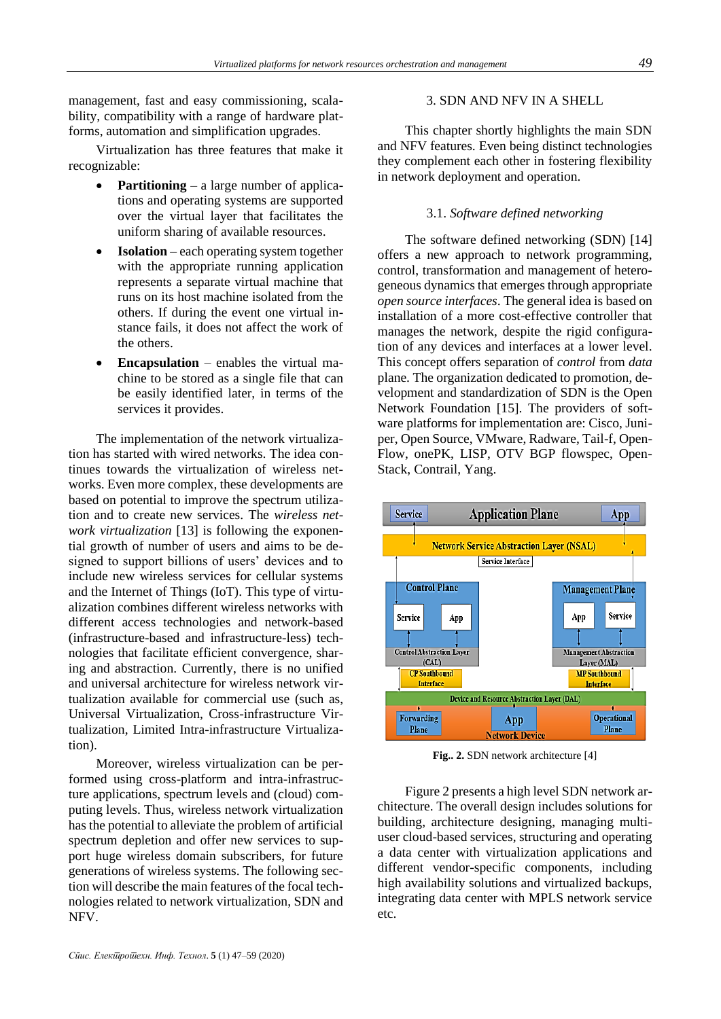management, fast and easy commissioning, scalability, compatibility with a range of hardware platforms, automation and simplification upgrades.

Virtualization has three features that make it recognizable:

- **Partitioning** a large number of applications and operating systems are supported over the virtual layer that facilitates the uniform sharing of available resources.
- **Isolation** each operating system together with the appropriate running application represents a separate virtual machine that runs on its host machine isolated from the others. If during the event one virtual instance fails, it does not affect the work of the others.
- **Encapsulation** enables the virtual machine to be stored as a single file that can be easily identified later, in terms of the services it provides.

The implementation of the network virtualization has started with wired networks. The idea continues towards the virtualization of wireless networks. Even more complex, these developments are based on potential to improve the spectrum utilization and to create new services. The *wireless network virtualization* [13] is following the exponential growth of number of users and aims to be designed to support billions of users' devices and to include new wireless services for cellular systems and the Internet of Things (IoT). This type of virtualization combines different wireless networks with different access technologies and network-based (infrastructure-based and infrastructure-less) technologies that facilitate efficient convergence, sharing and abstraction. Currently, there is no unified and universal architecture for wireless network virtualization available for commercial use (such as, Universal Virtualization, Cross-infrastructure Virtualization, Limited Intra-infrastructure Virtualization).

Moreover, wireless virtualization can be performed using cross-platform and intra-infrastructure applications, spectrum levels and (cloud) computing levels. Thus, wireless network virtualization has the potential to alleviate the problem of artificial spectrum depletion and offer new services to support huge wireless domain subscribers, for future generations of wireless systems. The following section will describe the main features of the focal technologies related to network virtualization, SDN and NFV.

## 3. SDN AND NFV IN A SHELL

This chapter shortly highlights the main SDN and NFV features. Even being distinct technologies they complement each other in fostering flexibility in network deployment and operation.

## 3.1. *Software defined networking*

The software defined networking (SDN) [14] offers a new approach to network programming, control, transformation and management of heterogeneous dynamics that emerges through appropriate *open source interfaces*. The general idea is based on installation of a more cost-effective controller that manages the network, despite the rigid configuration of any devices and interfaces at a lower level. This concept offers separation of *control* from *data* plane. The organization dedicated to promotion, development and standardization of SDN is the Open Network Foundation [15]. The providers of software platforms for implementation are: Cisco, Juniper, Open Source, VMware, Radware, Tail-f, Open-Flow, onePK, LISP, OTV BGP flowspec, Open-Stack, Contrail, Yang.



**Fig.. 2.** SDN network architecture [4]

Figure 2 presents a high level SDN network architecture. The overall design includes solutions for building, architecture designing, managing multiuser cloud-based services, structuring and operating a data center with virtualization applications and different vendor-specific components, including high availability solutions and virtualized backups, integrating data center with MPLS network service etc.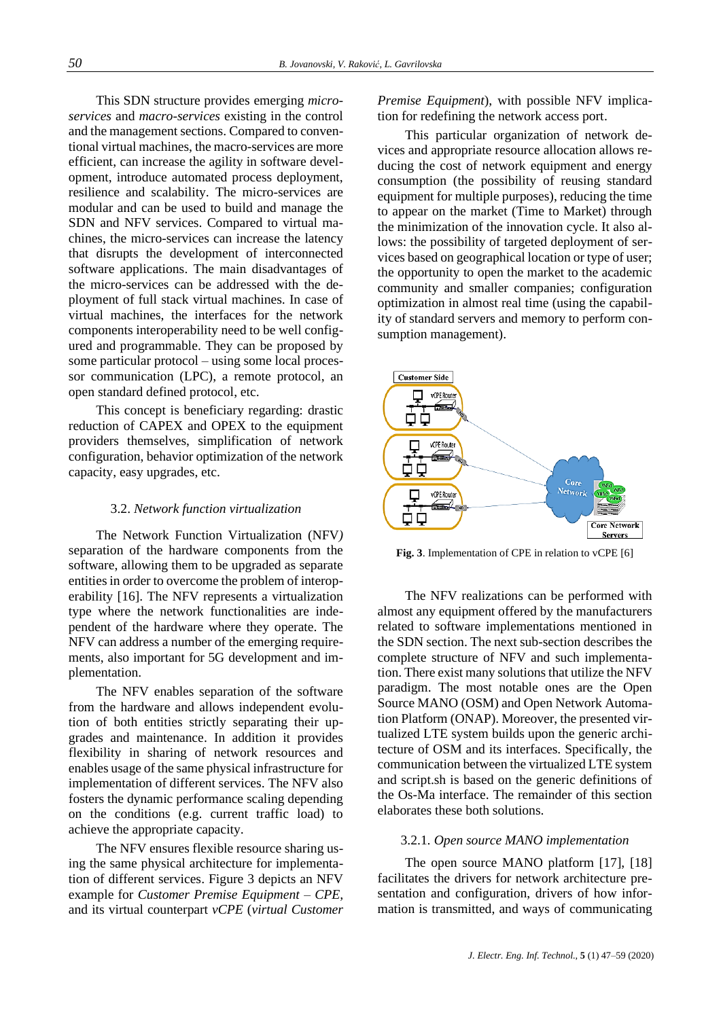This SDN structure provides emerging *microservices* and *macro-services* existing in the control and the management sections. Compared to conventional virtual machines, the macro-services are more efficient, can increase the agility in software development, introduce automated process deployment, resilience and scalability. The micro-services are modular and can be used to build and manage the SDN and NFV services. Compared to virtual machines, the micro-services can increase the latency that disrupts the development of interconnected software applications. The main disadvantages of the micro-services can be addressed with the deployment of full stack virtual machines. In case of virtual machines, the interfaces for the network components interoperability need to be well configured and programmable. They can be proposed by some particular protocol – using some local processor communication (LPC), a remote protocol, an open standard defined protocol, etc.

This concept is beneficiary regarding: drastic reduction of CAPEX and OPEX to the equipment providers themselves, simplification of network configuration, behavior optimization of the network capacity, easy upgrades, etc.

## 3.2. *Network function virtualization*

The Network Function Virtualization (NFV*)*  separation of the hardware components from the software, allowing them to be upgraded as separate entities in order to overcome the problem of interoperability [16]. The NFV represents a virtualization type where the network functionalities are independent of the hardware where they operate. The NFV can address a number of the emerging requirements, also important for 5G development and implementation.

The NFV enables separation of the software from the hardware and allows independent evolution of both entities strictly separating their upgrades and maintenance. In addition it provides flexibility in sharing of network resources and enables usage of the same physical infrastructure for implementation of different services. The NFV also fosters the dynamic performance scaling depending on the conditions (e.g. current traffic load) to achieve the appropriate capacity.

The NFV ensures flexible resource sharing using the same physical architecture for implementation of different services. Figure 3 depicts an NFV example for *Customer Premise Equipment – CPE,* and its virtual counterpart *vCPE* (*virtual Customer*  *Premise Equipment*), with possible NFV implication for redefining the network access port.

This particular organization of network devices and appropriate resource allocation allows reducing the cost of network equipment and energy consumption (the possibility of reusing standard equipment for multiple purposes), reducing the time to appear on the market (Time to Market) through the minimization of the innovation cycle. It also allows: the possibility of targeted deployment of services based on geographical location or type of user; the opportunity to open the market to the academic community and smaller companies; configuration optimization in almost real time (using the capability of standard servers and memory to perform consumption management).



**Fig. 3**. Implementation of CPE in relation to vCPE [6]

The NFV realizations can be performed with almost any equipment offered by the manufacturers related to software implementations mentioned in the SDN section. The next sub-section describes the complete structure of NFV and such implementation. There exist many solutions that utilize the NFV paradigm. The most notable ones are the Open Source MANO (OSM) and Open Network Automation Platform (ONAP). Moreover, the presented virtualized LTE system builds upon the generic architecture of OSM and its interfaces. Specifically, the communication between the virtualized LTE system and script.sh is based on the generic definitions of the Os-Ma interface. The remainder of this section elaborates these both solutions.

## 3.2.1*. Open source MANO implementation*

The open source MANO platform [17], [18] facilitates the drivers for network architecture presentation and configuration, drivers of how information is transmitted, and ways of communicating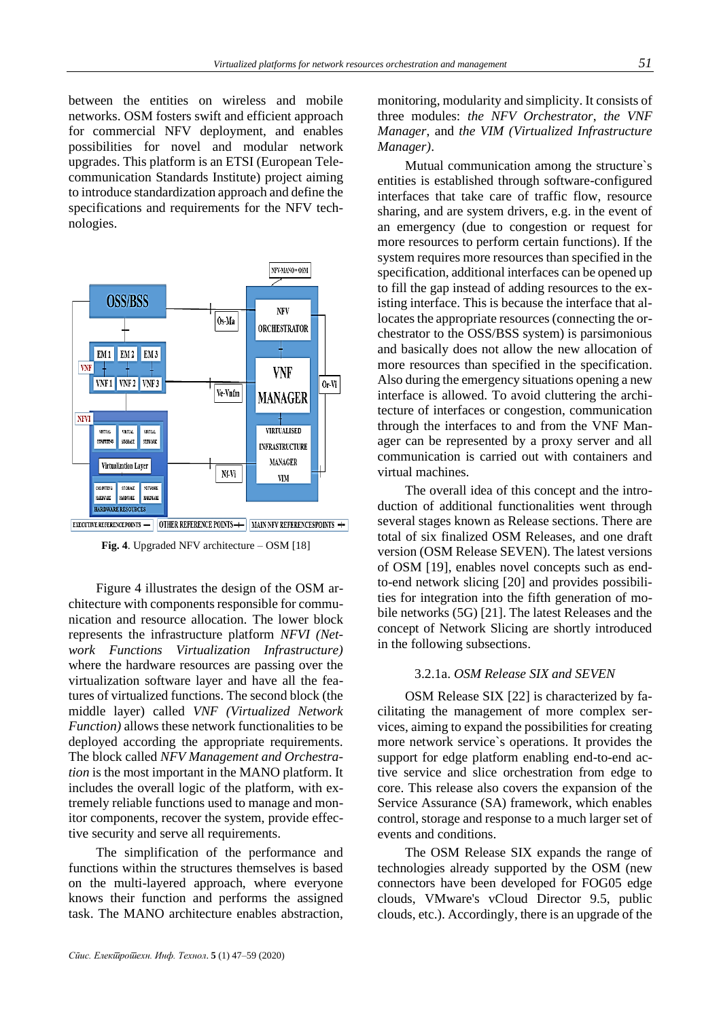between the entities on wireless and mobile networks. OSM fosters swift and efficient approach for commercial NFV deployment, and enables possibilities for novel and modular network upgrades. This platform is an ETSI (European Telecommunication Standards Institute) project aiming to introduce standardization approach and define the specifications and requirements for the NFV technologies.



**Fig. 4**. Upgraded NFV architecture – OSM [18]

Figure 4 illustrates the design of the OSM architecture with components responsible for communication and resource allocation. The lower block represents the infrastructure platform *NFVI (Network Functions Virtualization Infrastructure)* where the hardware resources are passing over the virtualization software layer and have all the features of virtualized functions. The second block (the middle layer) called *VNF (Virtualized Network Function)* allows these network functionalities to be deployed according the appropriate requirements. The block called *NFV Management and Orchestration* is the most important in the MANO platform. It includes the overall logic of the platform, with extremely reliable functions used to manage and monitor components, recover the system, provide effective security and serve all requirements.

The simplification of the performance and functions within the structures themselves is based on the multi-layered approach, where everyone knows their function and performs the assigned task. The MANO architecture enables abstraction,

monitoring, modularity and simplicity. It consists of three modules: *the NFV Orchestrator*, *the VNF Manager*, and *the VIM (Virtualized Infrastructure Manager)*.

Mutual communication among the structure`s entities is established through software-configured interfaces that take care of traffic flow, resource sharing, and are system drivers, e.g. in the event of an emergency (due to congestion or request for more resources to perform certain functions). If the system requires more resources than specified in the specification, additional interfaces can be opened up to fill the gap instead of adding resources to the existing interface. This is because the interface that allocates the appropriate resources (connecting the orchestrator to the OSS/BSS system) is parsimonious and basically does not allow the new allocation of more resources than specified in the specification. Also during the emergency situations opening a new interface is allowed. To avoid cluttering the architecture of interfaces or congestion, communication through the interfaces to and from the VNF Manager can be represented by a proxy server and all communication is carried out with containers and virtual machines.

The overall idea of this concept and the introduction of additional functionalities went through several stages known as Release sections. There are total of six finalized OSM Releases, and one draft version (OSM Release SEVEN). The latest versions of OSM [19], enables novel concepts such as endto-end network slicing [20] and provides possibilities for integration into the fifth generation of mobile networks (5G) [21]. The latest Releases and the concept of Network Slicing are shortly introduced in the following subsections.

## 3.2.1a. *OSM Release SIX and SEVEN*

OSM Release SIX [22] is characterized by facilitating the management of more complex services, aiming to expand the possibilities for creating more network service`s operations. It provides the support for edge platform enabling end-to-end active service and slice orchestration from edge to core. This release also covers the expansion of the Service Assurance (SA) framework, which enables control, storage and response to a much larger set of events and conditions.

The OSM Release SIX expands the range of technologies already supported by the OSM (new connectors have been developed for FOG05 edge clouds, VMware's vCloud Director 9.5, public clouds, etc.). Accordingly, there is an upgrade of the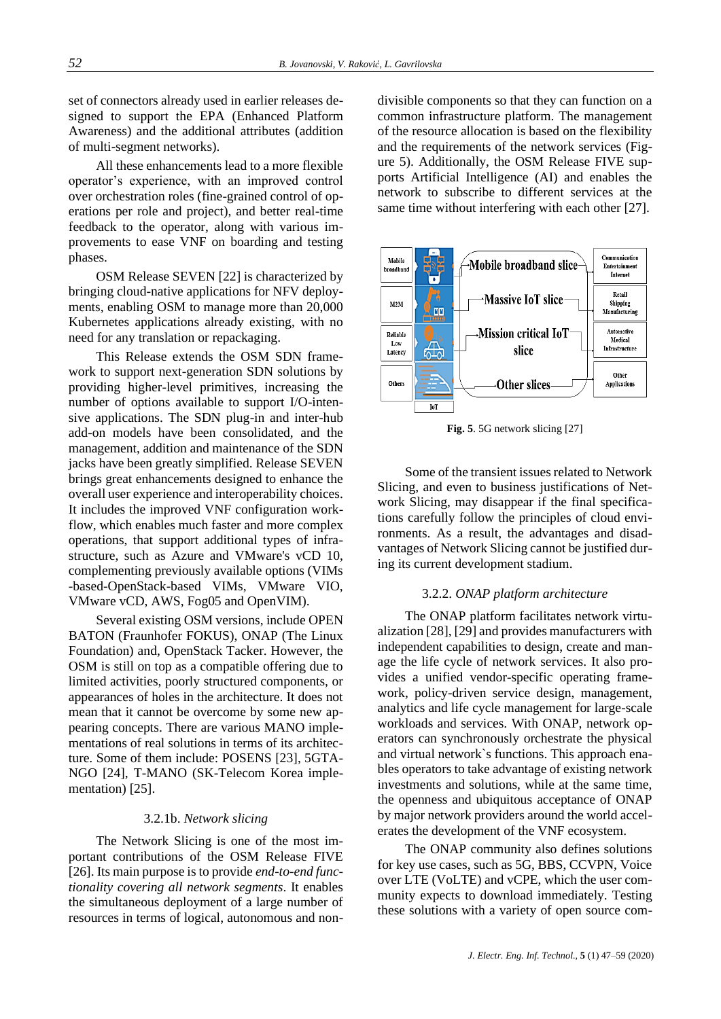set of connectors already used in earlier releases designed to support the EPA (Enhanced Platform Awareness) and the additional attributes (addition of multi-segment networks).

All these enhancements lead to a more flexible operator's experience, with an improved control over orchestration roles (fine-grained control of operations per role and project), and better real-time feedback to the operator, along with various improvements to ease VNF on boarding and testing phases.

OSM Release SEVEN [22] is characterized by bringing cloud-native applications for NFV deployments, enabling OSM to manage more than 20,000 Kubernetes applications already existing, with no need for any translation or repackaging.

This Release extends the OSM SDN framework to support next-generation SDN solutions by providing higher-level primitives, increasing the number of options available to support I/O-intensive applications. The SDN plug-in and inter-hub add-on models have been consolidated, and the management, addition and maintenance of the SDN jacks have been greatly simplified. Release SEVEN brings great enhancements designed to enhance the overall user experience and interoperability choices. It includes the improved VNF configuration workflow, which enables much faster and more complex operations, that support additional types of infrastructure, such as Azure and VMware's vCD 10, complementing previously available options (VIMs -based-OpenStack-based VIMs, VMware VIO, VMware vCD, AWS, Fog05 and OpenVIM).

Several existing OSM versions, include OPEN BATON (Fraunhofer FOKUS), ONAP (The Linux Foundation) and, OpenStack Tacker. However, the OSM is still on top as a compatible offering due to limited activities, poorly structured components, or appearances of holes in the architecture. It does not mean that it cannot be overcome by some new appearing concepts. There are various MANO implementations of real solutions in terms of its architecture. Some of them include: POSENS [23], 5GTA-NGO [24], T-MANO (SK-Telecom Korea implementation) [25].

#### 3.2.1b. *Network slicing*

The Network Slicing is one of the most important contributions of the OSM Release FIVE [26]. Its main purpose is to provide *end-to-end functionality covering all network segments*. It enables the simultaneous deployment of a large number of resources in terms of logical, autonomous and nondivisible components so that they can function on a common infrastructure platform. The management of the resource allocation is based on the flexibility and the requirements of the network services (Figure 5). Additionally, the OSM Release FIVE supports Artificial Intelligence (AI) and enables the network to subscribe to different services at the same time without interfering with each other [27].



**Fig. 5**. 5G network slicing [27]

Some of the transient issues related to Network Slicing, and even to business justifications of Network Slicing, may disappear if the final specifications carefully follow the principles of cloud environments. As a result, the advantages and disadvantages of Network Slicing cannot be justified during its current development stadium.

## 3.2.2. *ONAP platform architecture*

The ONAP platform facilitates network virtualization [28], [29] and provides manufacturers with independent capabilities to design, create and manage the life cycle of network services. It also provides a unified vendor-specific operating framework, policy-driven service design, management, analytics and life cycle management for large-scale workloads and services. With ONAP, network operators can synchronously orchestrate the physical and virtual network`s functions. This approach enables operators to take advantage of existing network investments and solutions, while at the same time, the openness and ubiquitous acceptance of ONAP by major network providers around the world accelerates the development of the VNF ecosystem.

The ONAP community also defines solutions for key use cases, such as 5G, BBS, CCVPN, Voice over LTE (VoLTE) and vCPE, which the user community expects to download immediately. Testing these solutions with a variety of open source com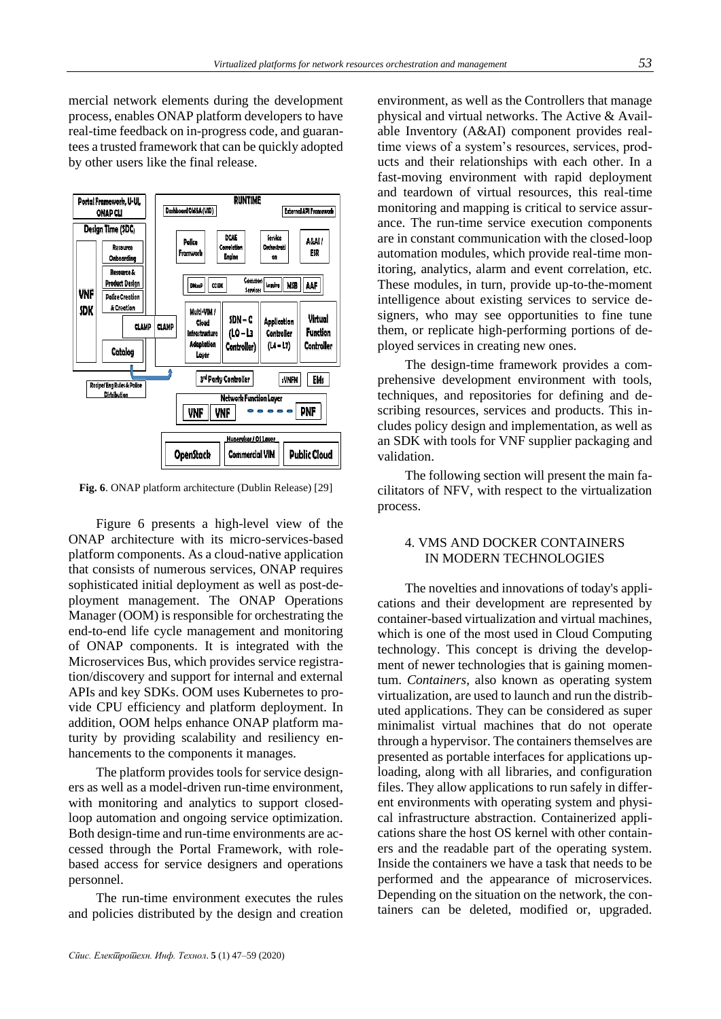mercial network elements during the development process, enables ONAP platform developers to have real-time feedback on in-progress code, and guarantees a trusted framework that can be quickly adopted by other users like the final release.



**Fig. 6**. ONAP platform architecture (Dublin Release) [29]

Figure 6 presents a high-level view of the ONAP architecture with its micro-services-based platform components. As a cloud-native application that consists of numerous services, ONAP requires sophisticated initial deployment as well as post-deployment management. The ONAP Operations Manager (OOM) is responsible for orchestrating the end-to-end life cycle management and monitoring of ONAP components. It is integrated with the Microservices Bus, which provides service registration/discovery and support for internal and external APIs and key SDKs. OOM uses Kubernetes to provide CPU efficiency and platform deployment. In addition, OOM helps enhance ONAP platform maturity by providing scalability and resiliency enhancements to the components it manages.

The platform provides tools for service designers as well as a model-driven run-time environment, with monitoring and analytics to support closedloop automation and ongoing service optimization. Both design-time and run-time environments are accessed through the Portal Framework, with rolebased access for service designers and operations personnel.

The run-time environment executes the rules and policies distributed by the design and creation environment, as well as the Controllers that manage physical and virtual networks. The Active & Available Inventory (A&AI) component provides realtime views of a system's resources, services, products and their relationships with each other. In a fast-moving environment with rapid deployment and teardown of virtual resources, this real-time monitoring and mapping is critical to service assurance. The run-time service execution components are in constant communication with the closed-loop automation modules, which provide real-time monitoring, analytics, alarm and event correlation, etc. These modules, in turn, provide up-to-the-moment intelligence about existing services to service designers, who may see opportunities to fine tune them, or replicate high-performing portions of deployed services in creating new ones.

The design-time framework provides a comprehensive development environment with tools, techniques, and repositories for defining and describing resources, services and products. This includes policy design and implementation, as well as an SDK with tools for VNF supplier packaging and validation.

The following section will present the main facilitators of NFV, with respect to the virtualization process.

## 4. VMS AND DOCKER CONTAINERS IN MODERN TECHNOLOGIES

The novelties and innovations of today's applications and their development are represented by container-based virtualization and virtual machines, which is one of the most used in Cloud Computing technology. This concept is driving the development of newer technologies that is gaining momentum. *Containers*, also known as operating system virtualization, are used to launch and run the distributed applications. They can be considered as super minimalist virtual machines that do not operate through a hypervisor. The containers themselves are presented as portable interfaces for applications uploading, along with all libraries, and configuration files. They allow applications to run safely in different environments with operating system and physical infrastructure abstraction. Containerized applications share the host OS kernel with other containers and the readable part of the operating system. Inside the containers we have a task that needs to be performed and the appearance of microservices. Depending on the situation on the network, the containers can be deleted, modified or, upgraded.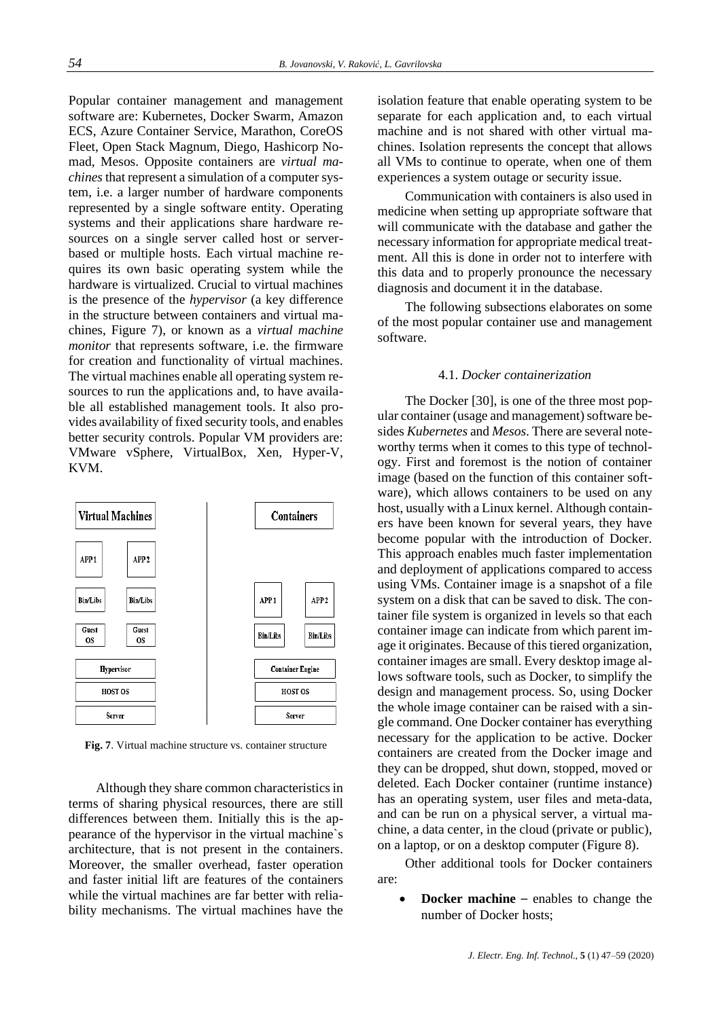Popular container management and management software are: Kubernetes, Docker Swarm, Amazon ECS, Azure Container Service, Marathon, CoreOS Fleet, Open Stack Magnum, Diego, Hashicorp Nomad, Mesos. Opposite containers are *virtual machines* that represent a simulation of a computer system, i.e. a larger number of hardware components represented by a single software entity. Operating systems and their applications share hardware resources on a single server called host or serverbased or multiple hosts. Each virtual machine requires its own basic operating system while the hardware is virtualized. Crucial to virtual machines is the presence of the *hypervisor* (a key difference in the structure between containers and virtual machines, Figure 7), or known as a *virtual machine monitor* that represents software, i.e. the firmware for creation and functionality of virtual machines. The virtual machines enable all operating system resources to run the applications and, to have available all established management tools. It also provides availability of fixed security tools, and enables better security controls. Popular VM providers are: VMware vSphere, VirtualBox, Xen, Hyper-V, KVM.



**Fig. 7**. Virtual machine structure vs. container structure

Although they share common characteristics in terms of sharing physical resources, there are still differences between them. Initially this is the appearance of the hypervisor in the virtual machine`s architecture, that is not present in the containers. Moreover, the smaller overhead, faster operation and faster initial lift are features of the containers while the virtual machines are far better with reliability mechanisms. The virtual machines have the isolation feature that enable operating system to be separate for each application and, to each virtual machine and is not shared with other virtual machines. Isolation represents the concept that allows all VMs to continue to operate, when one of them experiences a system outage or security issue.

Communication with containers is also used in medicine when setting up appropriate software that will communicate with the database and gather the necessary information for appropriate medical treatment. All this is done in order not to interfere with this data and to properly pronounce the necessary diagnosis and document it in the database.

The following subsections elaborates on some of the most popular container use and management software.

#### 4.1. *Docker containerization*

The Docker [30], is one of the three most popular container (usage and management) software besides *Kubernetes* and *Mesos*. There are several noteworthy terms when it comes to this type of technology. First and foremost is the notion of container image (based on the function of this container software), which allows containers to be used on any host, usually with a Linux kernel. Although containers have been known for several years, they have become popular with the introduction of Docker. This approach enables much faster implementation and deployment of applications compared to access using VMs. Container image is a snapshot of a file system on a disk that can be saved to disk. The container file system is organized in levels so that each container image can indicate from which parent image it originates. Because of this tiered organization, container images are small. Every desktop image allows software tools, such as Docker, to simplify the design and management process. So, using Docker the whole image container can be raised with a single command. One Docker container has everything necessary for the application to be active. Docker containers are created from the Docker image and they can be dropped, shut down, stopped, moved or deleted. Each Docker container (runtime instance) has an operating system, user files and meta-data, and can be run on a physical server, a virtual machine, a data center, in the cloud (private or public), on a laptop, or on a desktop computer (Figure 8).

Other additional tools for Docker containers are:

**Docker machine** – enables to change the number of Docker hosts;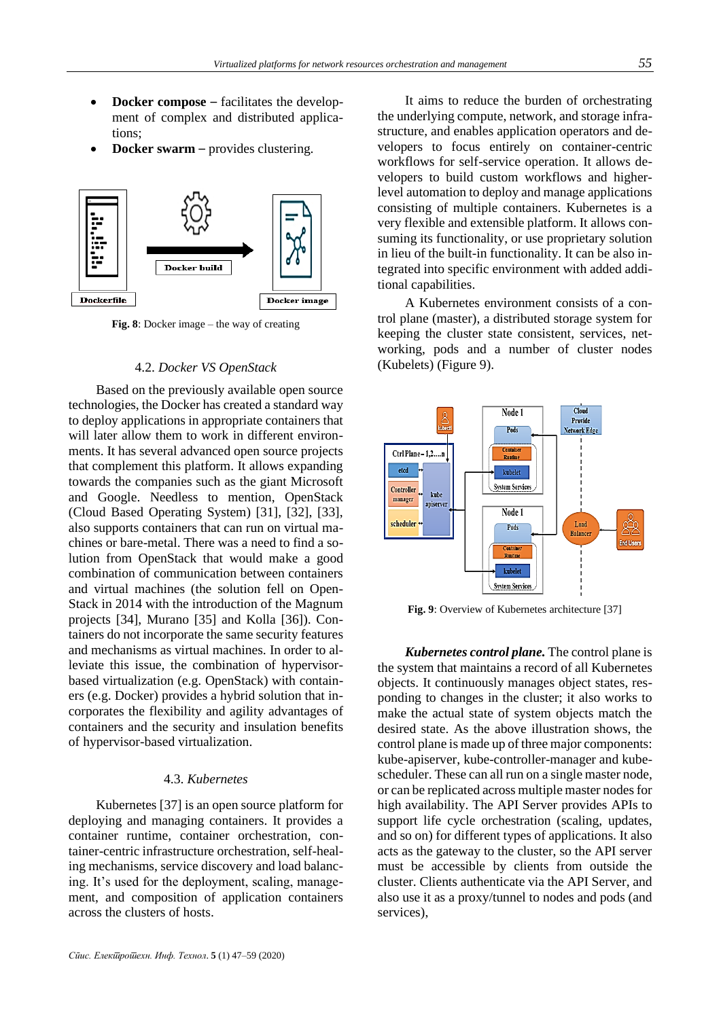- **Docker compose** facilitates the development of complex and distributed applications;
- **Docker swarm** provides clustering.



**Fig. 8**: Docker image – the way of creating

## 4.2. *Docker VS OpenStack*

Based on the previously available open source technologies, the Docker has created a standard way to deploy applications in appropriate containers that will later allow them to work in different environments. It has several advanced open source projects that complement this platform. It allows expanding towards the companies such as the giant Microsoft and Google. Needless to mention, OpenStack (Cloud Based Operating System) [31], [32], [33], also supports containers that can run on virtual machines or bare-metal. There was a need to find a solution from OpenStack that would make a good combination of communication between containers and virtual machines (the solution fell on Open-Stack in 2014 with the introduction of the Magnum projects [34], Murano [35] and Kolla [36]). Containers do not incorporate the same security features and mechanisms as virtual machines. In order to alleviate this issue, the combination of hypervisorbased virtualization (e.g. OpenStack) with containers (e.g. Docker) provides a hybrid solution that incorporates the flexibility and agility advantages of containers and the security and insulation benefits of hypervisor-based virtualization.

## 4.3. *Kubernetes*

Kubernetes [37] is an open source platform for deploying and managing containers. It provides a container runtime, container orchestration, container-centric infrastructure orchestration, self-healing mechanisms, service discovery and load balancing. It's used for the deployment, scaling, management, and composition of application containers across the clusters of hosts.

It aims to reduce the burden of orchestrating the underlying compute, network, and storage infrastructure, and enables application operators and developers to focus entirely on container-centric workflows for self-service operation. It allows developers to build custom workflows and higherlevel automation to deploy and manage applications consisting of multiple containers. Kubernetes is a very flexible and extensible platform. It allows consuming its functionality, or use proprietary solution in lieu of the built-in functionality. It can be also integrated into specific environment with added additional capabilities.

A Kubernetes environment consists of a control plane (master), a distributed storage system for keeping the cluster state consistent, services, networking, pods and a number of cluster nodes (Kubelets) (Figure 9).



**Fig. 9**: Overview of Kubernetes architecture [37]

*Kubernetes control plane.* The control plane is the system that maintains a record of all Kubernetes objects. It continuously manages object states, responding to changes in the cluster; it also works to make the actual state of system objects match the desired state. As the above illustration shows, the control plane is made up of three major components: kube-apiserver, kube-controller-manager and kubescheduler. These can all run on a single master node, or can be replicated across multiple master nodes for high availability. The API Server provides APIs to support life cycle orchestration (scaling, updates, and so on) for different types of applications. It also acts as the gateway to the cluster, so the API server must be accessible by clients from outside the cluster. Clients authenticate via the API Server, and also use it as a proxy/tunnel to nodes and pods (and services),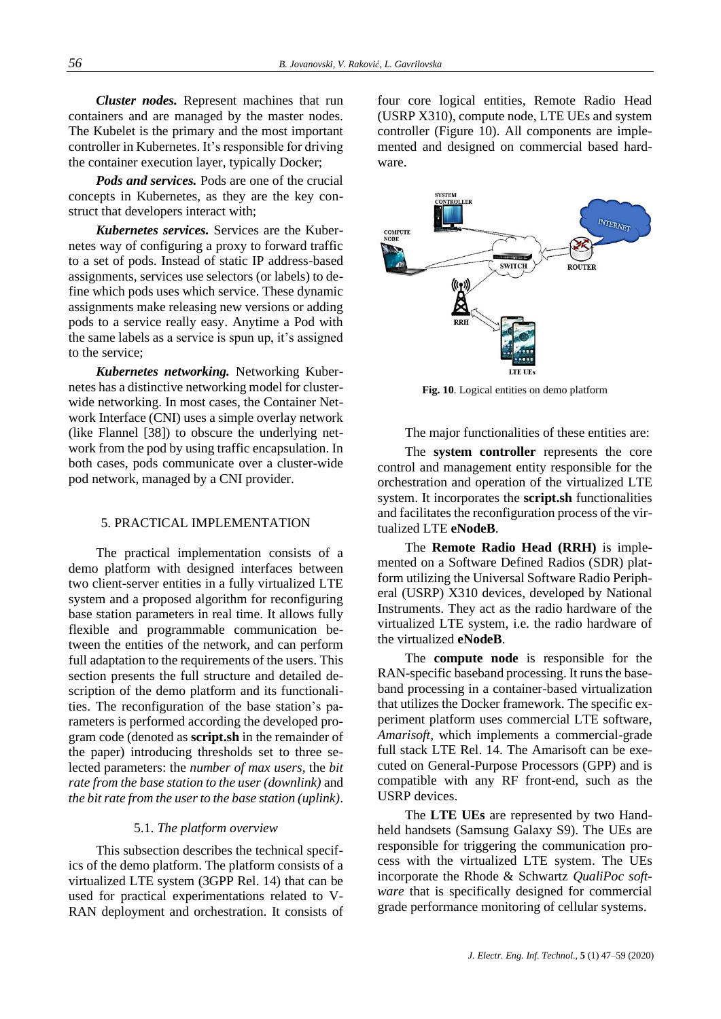*Cluster nodes.* Represent machines that run containers and are managed by the master nodes. The Kubelet is the primary and the most important controller in Kubernetes. It's responsible for driving the container execution layer, typically Docker;

*Pods and services.* Pods are one of the crucial concepts in Kubernetes, as they are the key construct that developers interact with;

*Kubernetes services.* Services are the Kubernetes way of configuring a proxy to forward traffic to a set of pods. Instead of static IP address-based assignments, services use selectors (or labels) to define which pods uses which service. These dynamic assignments make releasing new versions or adding pods to a service really easy. Anytime a Pod with the same labels as a service is spun up, it's assigned to the service;

*Kubernetes networking.* Networking Kubernetes has a distinctive networking model for clusterwide networking. In most cases, the Container Network Interface (CNI) uses a simple overlay network (like Flannel [38]) to obscure the underlying network from the pod by using traffic encapsulation. In both cases, pods communicate over a cluster-wide pod network, managed by a CNI provider.

## 5. PRACTICAL IMPLEMENTATION

The practical implementation consists of a demo platform with designed interfaces between two client-server entities in a fully virtualized LTE system and a proposed algorithm for reconfiguring base station parameters in real time. It allows fully flexible and programmable communication between the entities of the network, and can perform full adaptation to the requirements of the users. This section presents the full structure and detailed description of the demo platform and its functionalities. The reconfiguration of the base station's parameters is performed according the developed program code (denoted as **script.sh** in the remainder of the paper) introducing thresholds set to three selected parameters: the *number of max users*, the *bit rate from the base station to the user (downlink)* and *the bit rate from the user to the base station (uplink)*.

## 5.1. *The platform overview*

This subsection describes the technical specifics of the demo platform. The platform consists of a virtualized LTE system (3GPP Rel. 14) that can be used for practical experimentations related to V-RAN deployment and orchestration. It consists of four core logical entities, Remote Radio Head (USRP X310), compute node, LTE UEs and system controller (Figure 10). All components are implemented and designed on commercial based hardware.



**Fig. 10**. Logical entities on demo platform

The major functionalities of these entities are:

The **system controller** represents the core control and management entity responsible for the orchestration and operation of the virtualized LTE system. It incorporates the **script.sh** functionalities and facilitates the reconfiguration process of the virtualized LTE **eNodeB**.

The **Remote Radio Head (RRH)** is implemented on a Software Defined Radios (SDR) platform utilizing the Universal Software Radio Peripheral (USRP) X310 devices, developed by National Instruments. They act as the radio hardware of the virtualized LTE system, i.e. the radio hardware of the virtualized **eNodeB**.

The **compute node** is responsible for the RAN-specific baseband processing. It runs the baseband processing in a container-based virtualization that utilizes the Docker framework. The specific experiment platform uses commercial LTE software, *Amarisoft*, which implements a commercial-grade full stack LTE Rel. 14. The Amarisoft can be executed on General-Purpose Processors (GPP) and is compatible with any RF front-end, such as the USRP devices.

The **LTE UEs** are represented by two Handheld handsets (Samsung Galaxy S9). The UEs are responsible for triggering the communication process with the virtualized LTE system. The UEs incorporate the Rhode & Schwartz *QualiPoc software* that is specifically designed for commercial grade performance monitoring of cellular systems.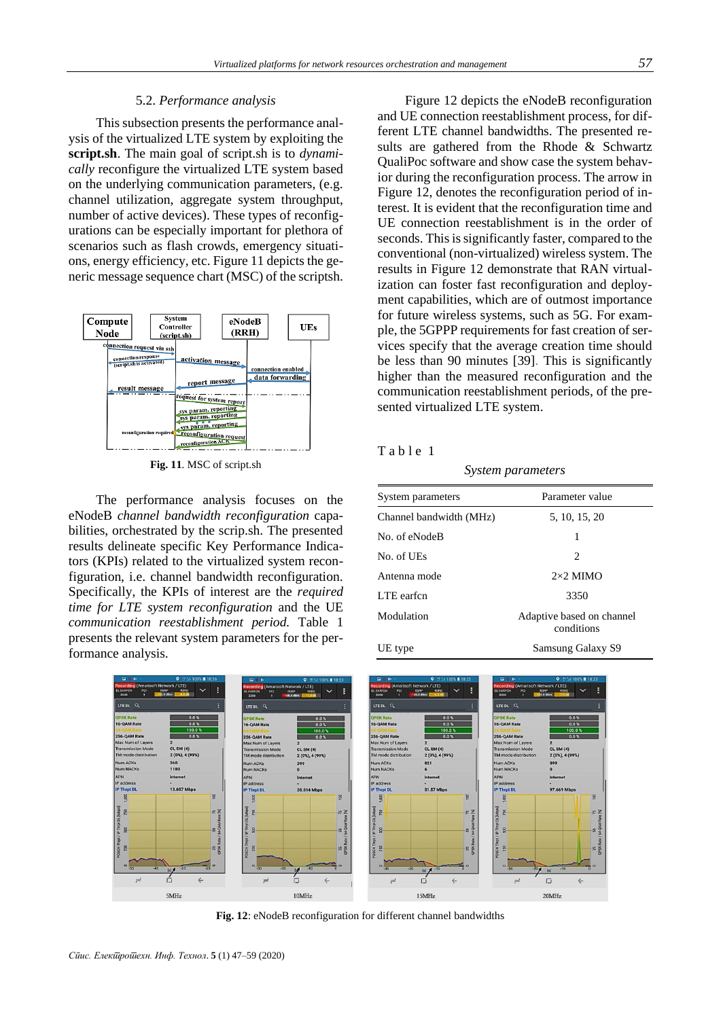#### 5.2. *Performance analysis*

This subsection presents the performance analysis of the virtualized LTE system by exploiting the **script.sh**. The main goal of script.sh is to *dynamically* reconfigure the virtualized LTE system based on the underlying communication parameters, (e.g. channel utilization, aggregate system throughput, number of active devices). These types of reconfigurations can be especially important for plethora of scenarios such as flash crowds, emergency situations, energy efficiency, etc. Figure 11 depicts the generic message sequence chart (MSC) of the scriptsh.



**Fig. 11**. MSC of script.sh

The performance analysis focuses on the eNodeB *channel bandwidth reconfiguration* capabilities, orchestrated by the scrip.sh. The presented results delineate specific Key Performance Indicators (KPIs) related to the virtualized system reconfiguration, i.e. channel bandwidth reconfiguration. Specifically, the KPIs of interest are the *required time for LTE system reconfiguration* and the UE *communication reestablishment period.* Table 1 presents the relevant system parameters for the performance analysis.

Figure 12 depicts the eNodeB reconfiguration and UE connection reestablishment process, for different LTE channel bandwidths. The presented results are gathered from the Rhode & Schwartz QualiPoc software and show case the system behavior during the reconfiguration process. The arrow in Figure 12, denotes the reconfiguration period of interest. It is evident that the reconfiguration time and UE connection reestablishment is in the order of seconds. This is significantly faster, compared to the conventional (non-virtualized) wireless system. The results in Figure 12 demonstrate that RAN virtualization can foster fast reconfiguration and deployment capabilities, which are of outmost importance for future wireless systems, such as 5G. For example, the 5GPPP requirements for fast creation of services specify that the average creation time should be less than 90 minutes [39]. This is significantly higher than the measured reconfiguration and the communication reestablishment periods, of the presented virtualized LTE system.

|  | a | <sub>b</sub> I |  |  |  |
|--|---|----------------|--|--|--|
|--|---|----------------|--|--|--|

*System parameters*

| System parameters       | Parameter value                         |  |  |
|-------------------------|-----------------------------------------|--|--|
| Channel bandwidth (MHz) | 5, 10, 15, 20                           |  |  |
| No. of eNodeB           | 1                                       |  |  |
| No. of UEs              | 2                                       |  |  |
| Antenna mode            | $2\times2$ MIMO                         |  |  |
| LTE earfcn              | 3350                                    |  |  |
| Modulation              | Adaptive based on channel<br>conditions |  |  |
| UE type                 | Samsung Galaxy S9                       |  |  |



**Fig. 12**: eNodeB reconfiguration for different channel bandwidths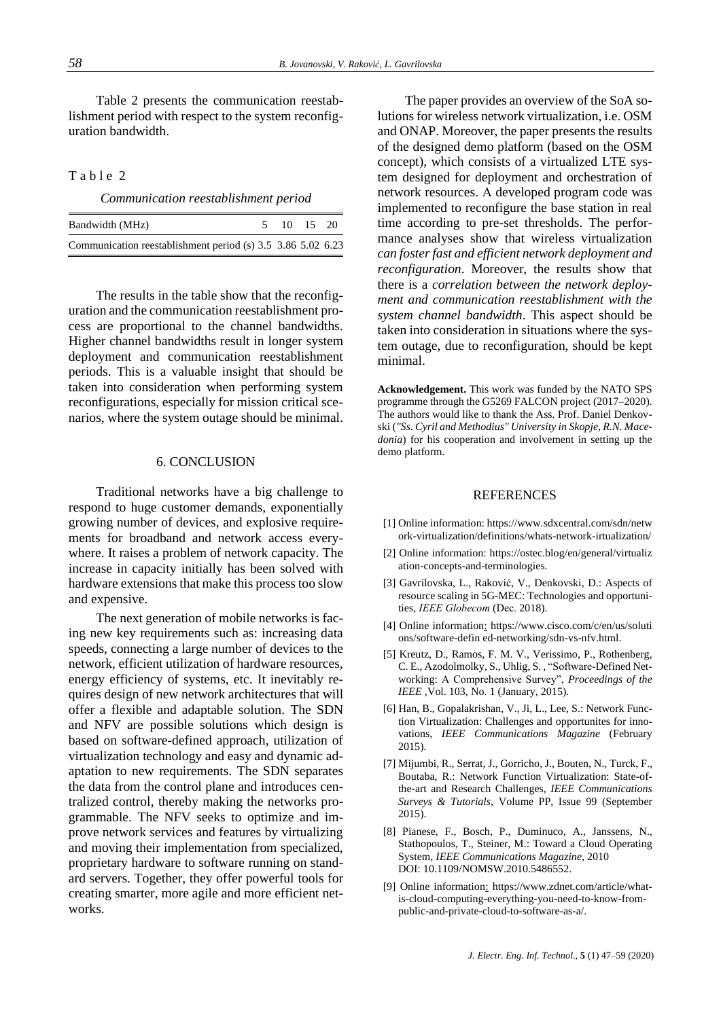Table 2 presents the communication reestablishment period with respect to the system reconfiguration bandwidth.

## Table 2

*Communication reestablishment period*

| Bandwidth (MHz)                                             | 5 10 15 20 |  |
|-------------------------------------------------------------|------------|--|
| Communication reestablishment period (s) 3.5 3.86 5.02 6.23 |            |  |

The results in the table show that the reconfiguration and the communication reestablishment process are proportional to the channel bandwidths. Higher channel bandwidths result in longer system deployment and communication reestablishment periods. This is a valuable insight that should be taken into consideration when performing system reconfigurations, especially for mission critical scenarios, where the system outage should be minimal.

#### 6. CONCLUSION

Traditional networks have a big challenge to respond to huge customer demands, exponentially growing number of devices, and explosive requirements for broadband and network access everywhere. It raises a problem of network capacity. The increase in capacity initially has been solved with hardware extensions that make this process too slow and expensive.

The next generation of mobile networks is facing new key requirements such as: increasing data speeds, connecting a large number of devices to the network, efficient utilization of hardware resources, energy efficiency of systems, etc. It inevitably requires design of new network architectures that will offer a flexible and adaptable solution. The SDN and NFV are possible solutions which design is based on software-defined approach, utilization of virtualization technology and easy and dynamic adaptation to new requirements. The SDN separates the data from the control plane and introduces centralized control, thereby making the networks programmable. The NFV seeks to optimize and improve network services and features by virtualizing and moving their implementation from specialized, proprietary hardware to software running on standard servers. Together, they offer powerful tools for creating smarter, more agile and more efficient networks.

The paper provides an overview of the SoA solutions for wireless network virtualization, i.e. OSM and ONAP. Moreover, the paper presents the results of the designed demo platform (based on the OSM concept), which consists of a virtualized LTE system designed for deployment and orchestration of network resources. А developed program code was implemented to reconfigure the base station in real time according to pre-set thresholds. The performance analyses show that wireless virtualization *can foster fast and efficient network deployment and reconfiguration*. Moreover, the results show that there is a *correlation between the network deployment and communication reestablishment with the system channel bandwidth*. This aspect should be taken into consideration in situations where the system outage, due to reconfiguration, should be kept minimal.

**Acknowledgement.** This work was funded by the NATO SPS programme through the G5269 FALCON project (2017–2020). The authors would like to thank the Ass. Prof. Daniel Denkovski (*"Ss. Cyril and Methodius" University in Skopje, R.N. Macedonia*) for his cooperation and involvement in setting up the demo platform.

#### **REFERENCES**

- [1] Online information[: https://www.sdxcentral.com/sdn/netw](https://www.sdxcentral.com/sdn/net) ork-virtualization/definitions/whats-network-irtualization/
- [2] Online information: [https://ostec.blog/en/general/virtualiz](https://ostec.blog/en/general/virtualiz%20a)  [at](https://ostec.blog/en/general/virtualiz%20a)ion-concepts-and-terminologies.
- [3] Gavrilovska, L., Raković, V., Denkovski, D.: Aspects of resource scaling in 5G-MEC: Technologies and opportunities, *IEEE Globecom* (Dec. 2018).
- [4] Online information: [https://www.cisco.com/c/en/us/sol](https://www.cisco.com/c/en/us/so)uti ons/software-defin ed-networking/sdn-vs-nfv.html.
- [5] Kreutz, D., Ramos, F. M. V., Verissimo, P., Rothenberg, C. E., Azodolmolky, S., Uhlig, S. , "Software-Defined Networking: A Comprehensive Survey", *Proceedings of the IEEE* ,Vol. 103, No. 1 (January, 2015).
- [6] Han, B., Gopalakrishan, V., Ji, L., Lee, S.: Network Function Virtualization: Challenges and opportunites for innovations, *IEEE Communications Magazine* (February 2015).
- [7] Mijumbi, R., Serrat, J., Gorricho, J., Bouten, N., Turck, F., Boutaba, R.: Network Function Virtualization: State-ofthe-art and Research Challenges, *IEEE Communications Surveys & Tutorials,* Volume PP, Issue 99 (September 2015).
- [8] Pianese, F., Bosch, P., Duminuco, A., Janssens, N., Stathopoulos, T., Steiner, M.: Toward a Cloud Operating System, *IEEE Communications Magazine,* 2010 DOI: 10.1109/NOMSW.2010.5486552.
- [9] Online information: https://www.zdnet.com/article/whatis-cloud-computing-everything-you-need-to-know-frompublic-and-private-cloud-to-software-as-a/.